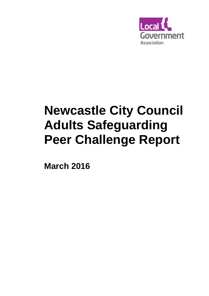

# **Newcastle City Council Adults Safeguarding Peer Challenge Report**

**March 2016**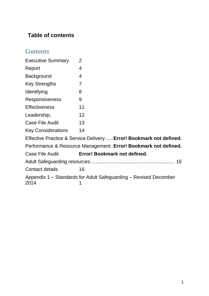### **Table of contents**

## **Contents**

| <b>Executive Summary</b>                                                 | $\overline{2}$               |  |  |  |  |
|--------------------------------------------------------------------------|------------------------------|--|--|--|--|
|                                                                          |                              |  |  |  |  |
| Report                                                                   | 4                            |  |  |  |  |
| <b>Background</b>                                                        | 4                            |  |  |  |  |
| <b>Key Strengths</b>                                                     | $\overline{7}$               |  |  |  |  |
| Identifying                                                              | 8                            |  |  |  |  |
| <b>Responsiveness</b>                                                    | 9                            |  |  |  |  |
| <b>Effectiveness</b>                                                     | 11                           |  |  |  |  |
| Leadership,                                                              | 12                           |  |  |  |  |
| <b>Case File Audit</b>                                                   | 13                           |  |  |  |  |
| <b>Key Considerations</b>                                                | 14                           |  |  |  |  |
| Effective Practice & Service Delivery  Error! Bookmark not defined.      |                              |  |  |  |  |
| Performance & Resource Management. Error! Bookmark not defined.          |                              |  |  |  |  |
| <b>Case File Audit</b>                                                   | Error! Bookmark not defined. |  |  |  |  |
|                                                                          |                              |  |  |  |  |
| <b>Contact details</b>                                                   | 16                           |  |  |  |  |
| Appendix 1 – Standards for Adult Safeguarding – Revised December<br>2014 |                              |  |  |  |  |
|                                                                          |                              |  |  |  |  |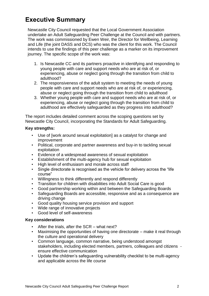## <span id="page-2-0"></span>**Executive Summary**

Newcastle City Council requested that the Local Government Association undertake an Adult Safeguarding Peer Challenge at the Council and with partners. The work was commissioned by Ewen Weir, the Director for Wellbeing, Learning and Life (the joint DASS and DCS) who was the client for this work. The Council intends to use the findings of this peer challenge as a marker on its improvement journey. The specific scope of the work was:

- 1. Is Newcastle CC and its partners proactive in identifying and responding to young people with care and support needs who are at risk of, or experiencing, abuse or neglect going through the transition from child to adulthood?
- 2. The responsiveness of the adult system to meeting the needs of young people with care and support needs who are at risk of, or experiencing, abuse or neglect going through the transition from child to adulthood
- 3. Whether young people with care and support needs who are at risk of, or experiencing, abuse or neglect going through the transition from child to adulthood are effectively safeguarded as they progress into adulthood?

The report includes detailed comment across the scoping questions set by Newcastle City Council, incorporating the Standards for Adult Safeguarding.

#### **Key strengths:**

- Use of [work around sexual exploitation] as a catalyst for change and improvement
- Political, corporate and partner awareness and buy-in to tackling sexual exploitation
- Evidence of a widespread awareness of sexual exploitation
- Establishment of the multi-agency hub for sexual exploitation
- High level of enthusiasm and morale across staff
- Single directorate is recognised as the vehicle for delivery across the "life course"
- Willingness to think differently and respond differently
- Transition for children with disabilities into Adult Social Care is good
- Good partnership working within and between the Safeguarding Boards
- Safeguarding Boards are accessible, responsive and as a consequence are driving change
- Good quality housing service provision and support
- Wide range of innovative projects
- Good level of self-awareness

#### **Key considerations**

- After the trials, after the SCR what next?
- Maximising the opportunities of having one directorate make it real through the culture and operational delivery
- Common language, common narrative, being understood amongst stakeholders, including elected members, partners, colleagues and citizens ensure effective communication
- Update the children's safeguarding vulnerability checklist to be multi-agency and applicable across the life course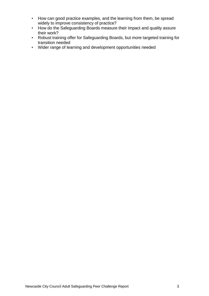- How can good practice examples, and the learning from them, be spread widely to improve consistency of practice?
- How do the Safeguarding Boards measure their impact and quality assure their work?
- Robust training offer for Safeguarding Boards, but more targeted training for transition needed
- Wider range of learning and development opportunities needed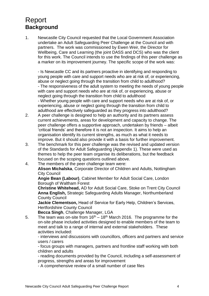#### <span id="page-4-1"></span><span id="page-4-0"></span>Report **Background**

1. Newcastle City Council requested that the Local Government Association undertake an Adult Safeguarding Peer Challenge at the Council and with partners. The work was commissioned by Ewen Weir, the Director for Wellbeing, Care and Learning (the joint DASS and DCS) who was the client for this work. The Council intends to use the findings of this peer challenge as a marker on its improvement journey. The specific scope of the work was:

- Is Newcastle CC and its partners proactive in identifying and responding to young people with care and support needs who are at risk of, or experiencing, abuse or neglect going through the transition from child to adulthood? - The responsiveness of the adult system to meeting the needs of young people with care and support needs who are at risk of, or experiencing, abuse or neglect going through the transition from child to adulthood - Whether young people with care and support needs who are at risk of, or experiencing, abuse or neglect going through the transition from child to adulthood are effectively safeguarded as they progress into adulthood?

- 2. A peer challenge is designed to help an authority and its partners assess current achievements, areas for development and capacity to change. The peer challenge offers a supportive approach, undertaken by friends – albeit 'critical friends' and therefore it is not an inspection. It aims to help an organisation identify its current strengths, as much as what it needs to improve. But it should also provide it with a basis for further improvement.
- 3. The benchmark for this peer challenge was the revised and updated version of the Standards for Adult Safeguarding (Appendix 1). These were used as themes to help the peer team organise its deliberations, but the feedback focused on the scoping questions outlined above.
- 4. The members of the peer challenge team were: **Alison Michalska**, Corporate Director of Children and Adults, Nottingham City Council

**Angie Bean (Labour)**, Cabinet Member for Adult Social Care, London Borough of Waltham Forest

**Christine Whitehead,** AD for Adult Social Care, Stoke on Trent City Council **Anna English,** Strategic Safeguarding Adults Manager, Northumberland County Council

**Jackie Clementson,** Head of Service for Early Help, Children's Services, Hertfordshire County Council

**Becca Singh**, Challenge Manager, LGA

5. The team was on-site from  $16<sup>th</sup> - 18<sup>th</sup>$  March 2016. The programme for the on-site phase included activities designed to enable members of the team to meet and talk to a range of internal and external stakeholders. These activities included:

- interviews and discussions with councillors, officers and partners and service users / carers

- focus groups with managers, partners and frontline staff working with both children and adults

- reading documents provided by the Council, including a self-assessment of progress, strengths and areas for improvement

- A comprehensive review of a small number of case files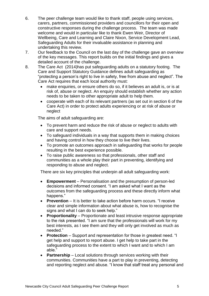- 6. The peer challenge team would like to thank staff, people using services, carers, partners, commissioned providers and councillors for their open and constructive responses during the challenge process. The team was made welcome and would in particular like to thank Ewen Weir, Director of Wellbeing, Care and Learning and Claire Nixon, Service Development Lead, Safeguarding Adults for their invaluable assistance in planning and undertaking this review.
- 7. Our feedback to the Council on the last day of the challenge gave an overview of the key messages. This report builds on the initial findings and gives a detailed account of the challenge.
- 8. The Care Act (2014)has put safeguarding adults on a statutory footing. The Care and Support Statutory Guidance defines adult safeguarding as "protecting a person's right to live in safety, free from abuse and neglect". The Care Act requires that each local authority must:
	- make enquiries, or ensure others do so, if it believes an adult is, or is at risk of, abuse or neglect. An enquiry should establish whether any action needs to be taken to other appropriate adult to help them.
	- cooperate with each of its relevant partners (as set out in section 6 of the Care Act) in order to protect adults experiencing or at risk of abuse or neglect

The aims of adult safeguarding are:

- To prevent harm and reduce the risk of abuse or neglect to adults with care and support needs.
- To safeguard individuals in a way that supports them in making choices and having control in how they choose to live their lives.
- To promote an outcomes approach in safeguarding that works for people resulting in the best experience possible.
- To raise public awareness so that professionals, other staff and communities as a whole play their part in preventing, identifying and responding to abuse and neglect.

There are six key principles that underpin all adult safeguarding work:

- **Empowerment** Personalisation and the presumption of person-led decisions and informed consent. "I am asked what I want as the outcomes from the safeguarding process and these directly inform what happens."
- **Prevention** It is better to take action before harm occurs. "I receive clear and simple information about what abuse is, how to recognise the signs and what I can do to seek help."
- **Proportionality** Proportionate and least intrusive response appropriate to the risk presented. "I am sure that the professionals will work for my best interests, as I see them and they will only get involved as much as needed."
- **Protection** Support and representation for those in greatest need. "I get help and support to report abuse. I get help to take part in the safeguarding process to the extent to which I want and to which I am able."
- **Partnership** Local solutions through services working with their communities. Communities have a part to play in preventing, detecting and reporting neglect and abuse. "I know that staff treat any personal and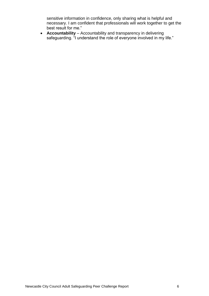sensitive information in confidence, only sharing what is helpful and necessary. I am confident that professionals will work together to get the best result for me."

 **Accountability** – Accountability and transparency in delivering safeguarding. "I understand the role of everyone involved in my life."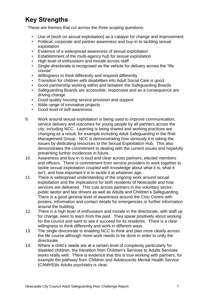# <span id="page-7-0"></span>**Key Strengths**

These are themes that cut across the three scoping questions:

- Use of [work on sexual exploitation] as a catalyst for change and improvement
- Political, corporate and partner awareness and buy-in to tackling sexual exploitation
- Evidence of a widespread awareness of sexual exploitation
- Establishment of the multi-agency hub for sexual exploitation
- High level of enthusiasm and morale across staff
- Single directorate is recognised as the vehicle for delivery across the "life course"
- Willingness to think differently and respond differently
- Transition for children with disabilities into Adult Social Care is good
- Good partnership working within and between the Safeguarding Boards
- Safequarding Boards are accessible, responsive and as a consequence are driving change
- Good quality housing service provision and support
- Wide range of innovative projects
- Good level of self-awareness
- 9. Work around sexual exploitation is being used to improve communication, service delivery and outcomes for young people by all partners across the city, including NCC. Learning is being shared and working practices are changing as a result, for example including Adult Safeguarding in the Risk Management Group. NCC is demonstrating how seriously it is taking the issues by dedicating resources to the Sexual Exploitation Hub. This also demonstrates the commitment to dealing with the current issues and hopefully preventing further incidences in future.
- 10. Awareness and buy-in is loud and clear across partners, elected members and officers. There is commitment from service providers to work together to tackle sexual exploitation coupled with knowledge about what it is, what it isn't, and how important it is to tackle it at whatever age.
- 11. There is widespread understanding of the ongoing work around sexual exploitation and the implications for both residents of Newcastle and how services are delivered. This cuts across partners in the voluntary sector, public sector and taxi drivers as well as Adults and Children's Safeguarding. There is a good general level of awareness around the Civic Centre with posters, information and contact details for emergencies or further information around the building.
- 12. There is a high level of enthusiasm and morale in the directorate, with staff up for change, keen to learn from the past. They speak positively about working for the council and want to see it succeed for its residents. There is a clear willingness to think differently and work in different ways.
- 13. The single directorate is enabling NCC to think and plan more clearly across the life course although more work needs to be done in order to unify the directorate.
- 14. Where a child's needs are at a certain level of complexity particularly for disabled children, the transition from Children's Services to Adults Services works really well. There is evidence that this is true working with partners, for example the pathway from Children and Adolescents Mental Health Service (CAMHS)to Adults psychiatry is clear.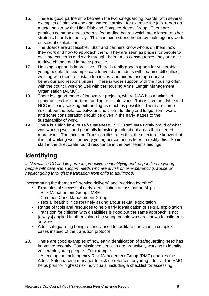- 15. There is good partnership between the two safeguarding boards, with several examples of joint working and shared learning, for example the joint report on mental health by the High Risk and Complex Needs Group. There are priorities common across both safeguarding boards which are aligned to other strategic boards in the city. This has been strengthened by multi-agency work on sexual exploitation.
- 16. The Boards are accessible. Staff and partners know who is on them, how they work and how to approach them. They are seen as places for people to escalate concerns and work through them. As a consequence, they are able to drive change and improve practice.
- 17. Housing support is impressive. There is really good support for vulnerable young people (for example care leavers) and adults with learning difficulties, working with them to sustain tenancies, and understand appropriate behaviour and responsibilities. There is wider support with the housing offer, with the council working well with the housing Arms' Length Management Organisation (ALMO).
- 18. There is a good range of innovative projects, where NCC has maximised opportunities for short-term funding to initiate work. This is commendable and NCC is clearly seeking out funding as much as possible. There are some risks about the balance between short-term funding and longer-term work, and some consideration should be given in the early stages to the sustainability of work.
- 19. There is a high level of self-awareness. NCC staff were rightly proud of what was working well, and generally knowledgeable about areas that needed more work. The focus on Transition illustrates this; the directorate knows that it is not working well for every young person and is keen to rectify this. Senior staff in the directorate found resonance in the peer team's findings.

# <span id="page-8-0"></span>**Identifying**

*Is Newcastle CC and its partners proactive in identifying and responding to young people with care and support needs who are at risk of, or experiencing, abuse or neglect going through the transition from child to adulthood?*

Incorporating the themes of "service delivery" and "working together"

- Examples of successful early identification across partnerships:
	- Risk Management Group / MSET
	- Common Case Management Group
	- sexual health clinics routinely asking about sexual exploitation
- Range of tools and resources to help early identification of sexual exploitation
- Transition for children with disabilities is good but the same approach is not [always] applied to other vulnerable young people who are known to children's services
- Adult safeguarding being routinely used to facilitate transition in complex cases instead of the transition protocol
- 20. There are good examples of how early identification of safeguarding need has improved recently. Commissioned services are proactively working to identify vulnerable young people. For example:

- Attending the multi-agency Risk Management Group (RMG) enables the Adults Safeguarding manager to pick up referrals for young adults. The RMG helps plan for highest risk individuals, including a checklist for assessing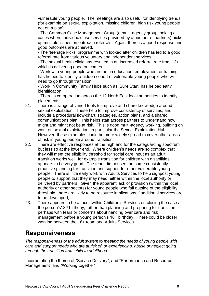vulnerable young people. The meetings are also useful for identifying trends (for example on sexual exploitation, missing children, high risk young people not on a plan).

- The Common Case Management Group (a multi-agency group looking at cases where individuals use services provided by a number of partners) picks up multiple issues on outreach referrals. Again, there is a good response and good outcomes are achieved.

- The 'teenage kicks' programme with looked after children has led to a good referral rate from various voluntary and independent services.

- The sexual health clinic has resulted in an increased referral rate from 13+ which is delivering good outcomes.

- Work with young people who are not in education, employment or training has helped to identify a hidden cohort of vulnerable young people who will need to go through transition.

- Work in Community Family Hubs such as 'Sure Start; has helped early identification.

- There is co-operation across the 12 North East local authorities to identify placements.

- 21. There is a range of varied tools to improve and share knowledge around sexual exploitation. These help to improve consistency of services, and include a procedural flow-chart, strategies, action plans, and a shared communications plan. This helps staff across partners to understand how might and might not be at risk. This is good multi-agency working, building on work on sexual exploitation, in particular the Sexual Exploitation Hub. However, these examples could be more widely spread to cover other areas of risk in young people around transition.
- 22. There are effective responses at the high end for the safeguarding spectrum but less so at the lower end. Where children's needs are so complex that they will meet the eligibility threshold for social care input as an adult, transition works well, for example transition for children with disabilities appears to be very good. The team did not see the same consistently proactive planning for transition and support for other vulnerable young people. There is little early work with Adults Services to help signpost young people to support that they may need, either within the local authority or delivered by partners. Given the apparent lack of provision (within the local authority or other sectors) for young people who fall outside of the eligibility threshold, there are likely to be resource implications if additional services are to be developed, .
- 23. There appears to be a focus within Children's Services on closing the case at the person's18<sup>th</sup> birthday, rather than planning and preparing for transition perhaps with fears or concerns about handing over care and risk management before a young person's 18<sup>th</sup> birthday. There could be closer working between the 16+ team and Adults Services.

#### <span id="page-9-0"></span>**Responsiveness**

*The responsiveness of the adult system to meeting the needs of young people with care and support needs who are at risk of, or experiencing, abuse or neglect going through the transition from child to adulthood*

Incorporating the theme of "Service Delivery", and "Performance and Resource Management" and "Working together"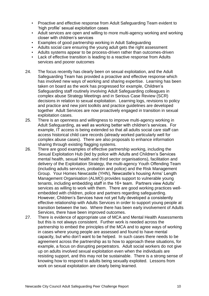- Proactive and effective response from Adult Safeguarding Team evident to 'high profile' sexual exploitation cases
- Adult services are open and willing to more multi-agency working and working closer with children's services
- Examples of good partnership working in Adult Safeguarding
- Adults social care ensuring the young adult gets the right assessment
- Adults systems appear to be process-driven rather than outcomes-driven
- Lack of effective transition is leading to a reactive response from Adults services and poorer outcomes
- 24. The focus recently has clearly been on sexual exploitation, and the Adult Safeguarding Team has provided a proactive and effective response which has involved new ways of working and sharing expertise. Learning has been taken on board as the work has progressed for example, Children's Safeguarding staff routinely involving Adult Safeguarding colleagues in complex abuse Strategy Meetings and in Serious Case Review (SCR) decisions in relation to sexual exploitation. Learning logs, revisions to policy and practice and new joint toolkits and practice guidelines are developed together Adult Services are now proactively engaged in transition in sexual exploitation cases.
- 25. There is an openness and willingness to improve multi-agency working in Adult Safeguarding, as well as working better with children's services. For example, IT access is being extended so that all adults social care staff can access historical child care records (already worked particularly well for complex abuse cases). There are also proposals to enhance information sharing through existing flagging systems.
- 26. There are good examples of effective partnership working, including the Sexual Exploitation Hub (led by police with Adults and Children's Services mental health, sexual health and third sector organisations), facilitation and delivery of the Exploitation Strategy, the multi-agency Youth Offending Team (including adults services, probation and police) and the Risk Management Group. Your Homes Newcastle (YHN), Newcastle's housing Arms' Length Management Organisation (ALMO) provides support to vulnerable young tenants, including embedding staff in the 16+ team. Partners view Adults' services as willing to work with them. There are good working practices wellembedded with children, police and partners regarding safeguarding. However, Children's Services have not yet fully developed a consistently effective relationship with Adults Services in order to support young people at transition between the two. Where there has been early involvement of Adults Services, there have been improved outcomes.
- 27. There is evidence of appropriate use of MCA and Mental Health Assessments but this is not always consistent. Further work is needed across the partnership to embed the principles of the MCA and to agree ways of working in cases where young people are assessed and found to have mental capacity, but who don't want to be helped. In such cases there needs to be agreement across the partnership as to how to approach these situations, for example, a focus on disrupting perpetrators. Adult social workers do not give up on adults involved sexual exploitation even when the individuals are resisting support, and this may not be sustainable. There is a strong sense of knowing how to respond to adults being sexually exploited. Lessons from work on sexual exploitation are clearly being learned.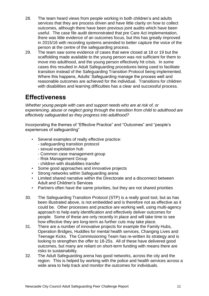- 28. The team heard views from people working in both children's and adults services that they are process driven and have little clarity on how to collect outcomes, although there have been previous joint audits which have been useful. The case file audit demonstrated that pre Care Act implementation, there was little evidence of an outcomes focus, but this has greatly improved in 2015/16 with recording systems amended to better capture the voice of the person at the centre of the safeguarding process.
- 29. The team saw some evidence of cases that were closed at 18 or 19 but the scaffolding made available to the young person was not sufficient for them to move into adulthood, and the young person effectively hit crisis. In some cases this resulted in Adult Safeguarding procedures being used to facilitate transition instead of the Safeguarding Transition Protocol being implemented. Where this happens, Adults' Safeguarding manage the process well and reasonable outcomes are achieved for the individual. Transitions for children with disabilities and learning difficulties has a clear and successful process.

#### <span id="page-11-0"></span>**Effectiveness**

*Whether young people with care and support needs who are at risk of, or experiencing, abuse or neglect going through the transition from child to adulthood are effectively safeguarded as they progress into adulthood?*

Incorporating the themes of "Effective Practice" and "Outcomes" and "people's experiences of safeguarding"

- Several examples of really effective practice:
	- safeguarding transition protocol
	- sexual exploitation hub
	- Common case management group
	- Risk Management Group
	- children with disabilities transfer
- Some good approaches and innovative projects
- Strong networks within Safeguarding arena
- Limited shared narrative within the Directorate and a disconnect between Adult and Children's Services
- Partners often have the same priorities, but they are not shared priorities
- 30. The Safeguarding Transition Protocol (STP) is a really good tool, but as has been illustrated above, is not embedded and is therefore not as effective as it could be. Other processes and practice are working well, using multi-agency approach to help early identification and effectively deliver outcomes for people. Some of these are only recently in place and will take time to see how effective they are long-term as further cuts may take place.
- 31. There are a number of innovative projects for example the Family Hubs, Operation Bridges, Huddles for mental health services, Changing Lives and Teenage Kicks. The Commissioning Team has re-written its strategy and is looking to strengthen the offer to 18-25s. All of these have delivered good outcomes, but many are reliant on short-term funding with means there are risks to sustainability.
- 32. The Adult Safeguarding arena has good networks, across the city and the region. This is helped by working with the police and health services across a wide area to help track and monitor the outcomes for individuals.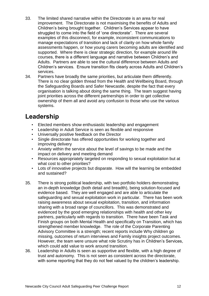- 33. The limited shared narrative within the Directorate is an area for real improvement. The Directorate is not maximising the benefits of Adults and Children's being brought together. Children's Services appear to have struggled to come into the field of 'one directorate". There are several examples of this disconnect, for example, inconsistent communications to manage expectations of transition and lack of clarity on how whole family assessments happen, or how young carers becoming adults are identified and supported. Where there is clear strategic direction, for example around life courses, there is a different language and narrative between Children's and Adults. Partners are able to see the cultural difference between Adults and Children's services. Ensure transition fits clearly across Adults and Children's services.
- 34. Partners have broadly the same priorities, but articulate them differently. There is no clear golden thread from the Health and Wellbeing Board, through the Safeguarding Boards and Safer Newcastle, despite the fact that every organisation is talking about doing the same thing. The team suggest having joint priorities across the different partnerships in order to get collective ownership of them all and avoid any confusion to those who use the various systems.

#### <span id="page-12-0"></span>**Leadership**

- Elected members show enthusiastic leadership and engagement
- Leadership in Adult Service is seen as flexible and responsive
- Universally positive feedback on the Director
- Single directorate has offered opportunities for working together and improving delivery
- Anxiety within the service about the level of savings to be made and the impact on delivery and meeting demand
- Resources appropriately targeted on responding to sexual exploitation but at what cost to other priorities?
- Lots of innovative projects but disparate. How will the learning be embedded and sustained?
- 35. There is strong political leadership, with two portfolio holders demonstrating an in-depth knowledge (both detail and breadth), being solution-focused and evidence based. They are well engaged and are able to articulate the safeguarding and sexual exploitation work in particular. There has been work raising awareness about sexual exploitation, transition, and information sharing with a broad range of councillors. This was demonstrated and evidenced by the good emerging relationships with health and other key partners, particularly with regards to transition. There have been Task and Finish groups on both Mental Health and specifically on Transition, which has strengthened member knowledge. The role of the Corporate Parenting Advisory Committee is a strength; recent reports include Why children go missing, outcomes of return interviews and Family insights project outcomes. However, the team were unsure what role Scrutiny has in Children's Services, which could add value to work around transition.
- 36. Leadership in Adults is seen as supportive and flexible, with a high degree of trust and autonomy. This is not seen as consistent across the directorate, with some reporting that they do not feel valued by the children's leadership.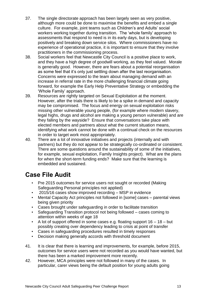- 37. The single directorate approach has been largely seen as very positive, although more could be done to maximise the benefits and embed a single culture. For example, joint teams such as Children's and Adults' social workers working together during transition. The 'whole family' approach to assessments that respond to need is in its early days, but is developing positively and breaking down service silos. Where commissioners have no experience of operational practice, it is important to ensure that they involve practitioners in the commissioning process.
- 38. Social workers feel that Newcastle City Council is a positive place to work, and they have a high degree of goodwill working, as they feel valued. Morale is generally good. However, there are fears about a potential reorganisation as some feel that it's only just settling down after the last reorganisation. Concerns were expressed to the team about managing demand with an increase in referral rate in the more challenging financial climate going forward, for example the Early Help Preventative Strategy or embedding the 'Whole Family' approach.
- 39. Resources are rightly targeted on Sexual Exploitation at the moment. However, after the trials there is likely to be a spike in demand and capacity may be compromised. The focus and energy on sexual exploitation risks missing other vulnerable young people, (for example where modern slavery, legal highs, drugs and alcohol are making a young person vulnerable) and are they falling by the wayside? Ensure that conversations take place with elected members and partners about what the current situation means, identifying what work cannot be done with a continual check on the resources in order to target work most appropriately.
- 40. There are a lot of innovative initiatives and projects (internally and with partners) but they do not appear to be strategically co-ordinated or consistent. There are some questions around the sustainability of some of the initiatives, for example, sexual exploitation, Family Insights project). What are the plans for when the short-term funding ends? Make sure that the learning is embedded and sustained.

# <span id="page-13-0"></span>**Case File Audit**

- Pre 2015 outcomes for service users not sought or recorded (Making Safeguarding Personal principles not applied)
- 2015/16 cases show improved recording MSP in evidence
- Mental Capacity Act principles not followed in [some] cases parental views being given priority
- Cases brought under safeguarding in order to facilitate transition
- Safeguarding Transition protocol not being followed cases coming to attention within weeks of age 18
- A lot of support offered in some cases e.g. floating support 16 18 but possibly creating over dependency leading to crisis at point of transfer
- Cases in safeguarding procedures resulted in timely responses
- Decision making generally accords with threshold document
- 41. It is clear that there is learning and improvements, for example, before 2015, outcomes for service users were not recorded as you would have wanted, but there has been a marked improvement more recently.
- 42. However, MCA principles were not followed in many of the cases. In particular, carer views being the default position for young adults going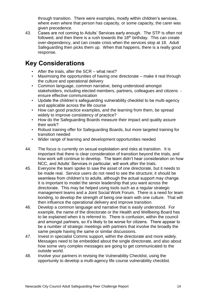through transition. There were examples, mostly within children's services, where even where that person has capacity, or some capacity, the carer was given precedence.

43. Cases are not coming to Adults' Services early enough. The STP is often not followed, and then there is a rush towards the  $18<sup>th</sup>$  birthday. This can create over-dependency, and can create crisis when the services stop at 18. Adult Safeguarding then picks them up. When that happens, there is a really good response.

## <span id="page-14-0"></span>**Key Considerations**

- After the trials, after the SCR what next?
- Maximising the opportunities of having one directorate make it real through the culture and operational delivery
- Common language, common narrative, being understood amongst stakeholders, including elected members, partners, colleagues and citizens ensure effective communication
- Update the children's safeguarding vulnerability checklist to be multi-agency and applicable across the life course
- How can good practice examples, and the learning from them, be spread widely to improve consistency of practice?
- How do the Safeguarding Boards measure their impact and quality assure their work?
- Robust training offer for Safeguarding Boards, but more targeted training for transition needed
- Wider range of learning and development opportunities needed
- 44. The focus is currently on sexual exploitation and risks at transition. It is important that there is clear consideration of transition beyond the trials, and how work will continue to develop. The team didn't hear consideration on how NCC, and Adults' Services in particular, will work after the trials.
- 45. Everyone the team spoke to saw the asset of one directorate, but it needs to be made real. Service users do not need to see the structure; it should be seamless from children's to adults, although the actual support may change. It is important to model the senior leadership that you want across the directorate. This may be helped using tools such as a regular strategic management teams and a Joint Social Work Forum. There is a need for team bonding, to develop the strength of being one team with one culture. That will then influence the operational delivery and improve transition.
- 46. Develop a common language and narrative that is easily understood. For example, the name of the directorate or the Health and Wellbeing Board has to be explained when it is referred to. There is confusion, within the council and amongst partners, so it's likely to be worse for citizens. There appear to be a number of strategic meetings with partners that involve the broadly the same people having the same or similar discussions.
- 47. Invest in specialist Comms support, within the directorate and more widely. Messages need to be embedded about the single directorate, and also about how some very complex messages are going to get communicated to the outside world.
- 48. Involve your partners in revising the Vulnerability Checklist, using the opportunity to develop a multi-agency life course vulnerability checklist.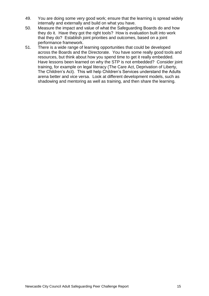- 49. You are doing some very good work; ensure that the learning is spread widely internally and externally and build on what you have.
- 50. Measure the impact and value of what the Safeguarding Boards do and how they do it. Have they got the right tools? How is evaluation built into work that they do? Establish joint priorities and outcomes, based on a joint performance framework.
- 51. There is a wide range of learning opportunities that could be developed across the Boards and the Directorate. You have some really good tools and resources, but think about how you spend time to get it really embedded. Have lessons been learned on why the STP is not embedded? Consider joint training, for example on legal literacy (The Care Act, Deprivation of Liberty, The Children's Act). This will help Children's Services understand the Adults arena better and vice versa. Look at different development models, such as shadowing and mentoring as well as training, and then share the learning.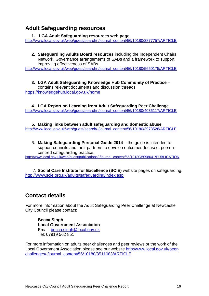#### <span id="page-16-0"></span>**Adult Safeguarding resources**

#### **1. LGA Adult Safeguarding resources web page**

[http://www.local.gov.uk/web/guest/search/-/journal\\_content/56/10180/3877757/ARTICLE](http://www.local.gov.uk/web/guest/search/-/journal_content/56/10180/3877757/ARTICLE)

**2. Safeguarding Adults Board resources** including the Independent Chairs Network, Governance arrangements of SABs and a framework to support improving effectiveness of SABs

[http://www.local.gov.uk/web/guest/search/-/journal\\_content/56/10180/5650175/ARTICLE](http://www.local.gov.uk/web/guest/search/-/journal_content/56/10180/5650175/ARTICLE)

**3. LGA Adult Safeguarding Knowledge Hub Community of Practice** – contains relevant documents and discussion threads <https://knowledgehub.local.gov.uk/home>

**4. LGA Report on Learning from Adult Safeguarding Peer Challenge** [http://www.local.gov.uk/web/guest/search/-/journal\\_content/56/10180/4036117/ARTICLE](http://www.local.gov.uk/web/guest/search/-/journal_content/56/10180/4036117/ARTICLE)

**5. Making links between adult safeguarding and domestic abuse** [http://www.local.gov.uk/web/guest/search/-/journal\\_content/56/10180/3973526/ARTICLE](http://www.local.gov.uk/web/guest/search/-/journal_content/56/10180/3973526/ARTICLE)

6. **Making Safeguarding Personal Guide 2014** – the guide is intended to support councils and their partners to develop outcomes-focused, personcentred safeguarding practice.

[http://www.local.gov.uk/web/guest/publications/-/journal\\_content/56/10180/6098641/PUBLICATION](http://www.local.gov.uk/web/guest/publications/-/journal_content/56/10180/6098641/PUBLICATION)

7. **Social Care Institute for Excellence (SCIE)** website pages on safeguarding. <http://www.scie.org.uk/adults/safeguarding/index.asp>

#### <span id="page-16-1"></span>**Contact details**

For more information about the Adult Safeguarding Peer Challenge at Newcastle City Council please contact:

**Becca Singh Local Government Association** Email: [becca.singh@local.gov.uk](mailto:becca.singh@local.gov.uk) Tel: 07919 562 851

For more information on adults peer challenges and peer reviews or the work of the Local Government Association please see our website [http://www.local.gov.uk/peer](http://www.local.gov.uk/peer-challenges/-/journal_content/56/10180/3511083/ARTICLE)[challenges/-/journal\\_content/56/10180/3511083/ARTICLE](http://www.local.gov.uk/peer-challenges/-/journal_content/56/10180/3511083/ARTICLE)